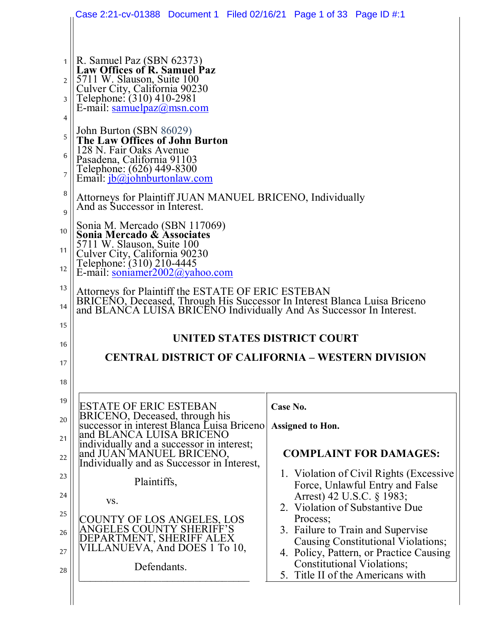|                                                                                              | Case 2:21-cv-01388 Document 1 Filed 02/16/21 Page 1 of 33 Page ID #:1                                                                                                                                                                                                                                                                                                                                                                                                                                                                                                                                                                                                                                                                                                                                                                  |                                                              |
|----------------------------------------------------------------------------------------------|----------------------------------------------------------------------------------------------------------------------------------------------------------------------------------------------------------------------------------------------------------------------------------------------------------------------------------------------------------------------------------------------------------------------------------------------------------------------------------------------------------------------------------------------------------------------------------------------------------------------------------------------------------------------------------------------------------------------------------------------------------------------------------------------------------------------------------------|--------------------------------------------------------------|
| $\overline{2}$<br>3<br>4<br>5<br>6<br>$\overline{7}$<br>8<br>9<br>10<br>11<br>12<br>13<br>14 | $1 \parallel R$ . Samuel Paz (SBN 62373)<br><b>Law Offices of R. Samuel Paz</b><br>5711 W. Slauson, Suite 100<br>Culver City, California 90230<br>Telephone: (310) 410-2981<br>E-mail: samuelpaz@msn.com<br>John Burton (SBN 86029)<br><b>The Law Offices of John Burton</b><br>128 N. Fair Oaks Avenue<br>Pasadena, California 91103<br>Telephone: (626) 449-8300<br>Email: <i>jb@johnburtonlaw.com</i><br>Attorneys for Plaintiff JUAN MANUEL BRICENO, Individually<br>And as Successor in Interest.<br>Sonia M. Mercado (SBN 117069)<br>Sonia Mercado & Associates<br>5711 W. Slauson, Suite 100<br>Culver City, California 90230<br>Telephone: (310) 210-4445<br>E-mail: soniamer2002@yahoo.com<br>Attorneys for Plaintiff the ESTATE OF ERIC ESTEBAN<br>BRICENO, Deceased, Through His Successor In Interest Blanca Luisa Briceno |                                                              |
|                                                                                              | and BLANCA LUISA BRICENO Individually And As Successor In Interest.                                                                                                                                                                                                                                                                                                                                                                                                                                                                                                                                                                                                                                                                                                                                                                    |                                                              |
|                                                                                              |                                                                                                                                                                                                                                                                                                                                                                                                                                                                                                                                                                                                                                                                                                                                                                                                                                        |                                                              |
| 15                                                                                           | UNITED STATES DISTRICT COURT                                                                                                                                                                                                                                                                                                                                                                                                                                                                                                                                                                                                                                                                                                                                                                                                           |                                                              |
|                                                                                              |                                                                                                                                                                                                                                                                                                                                                                                                                                                                                                                                                                                                                                                                                                                                                                                                                                        |                                                              |
|                                                                                              | <b>CENTRAL DISTRICT OF CALIFORNIA - WESTERN DIVISION</b>                                                                                                                                                                                                                                                                                                                                                                                                                                                                                                                                                                                                                                                                                                                                                                               |                                                              |
|                                                                                              |                                                                                                                                                                                                                                                                                                                                                                                                                                                                                                                                                                                                                                                                                                                                                                                                                                        |                                                              |
|                                                                                              | <b>ESTATE OF ERIC ESTEBAN</b>                                                                                                                                                                                                                                                                                                                                                                                                                                                                                                                                                                                                                                                                                                                                                                                                          | Case No.                                                     |
|                                                                                              | BRICENO, Deceased, through his<br>successor in interest Blanca Luisa Briceno<br>and BLANCA LUISA BRICENO                                                                                                                                                                                                                                                                                                                                                                                                                                                                                                                                                                                                                                                                                                                               | Assigned to Hon.                                             |
|                                                                                              | individually and a successor in interest;<br>and JUAN MANUEL BRICENO,                                                                                                                                                                                                                                                                                                                                                                                                                                                                                                                                                                                                                                                                                                                                                                  | <b>COMPLAINT FOR DAMAGES:</b>                                |
| 16<br>17<br>18<br>19<br>20<br>21<br>22<br>23                                                 | Individually and as Successor in Interest,                                                                                                                                                                                                                                                                                                                                                                                                                                                                                                                                                                                                                                                                                                                                                                                             | 1. Violation of Civil Rights (Excessive                      |
| 24                                                                                           | Plaintiffs,<br>VS.                                                                                                                                                                                                                                                                                                                                                                                                                                                                                                                                                                                                                                                                                                                                                                                                                     | Force, Unlawful Entry and False<br>Arrest) 42 U.S.C. § 1983; |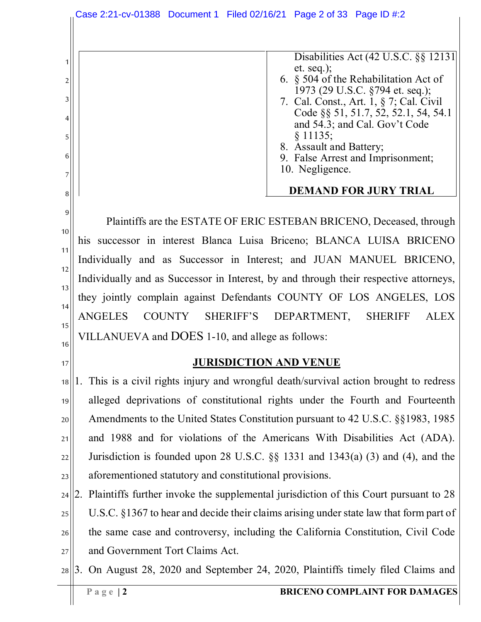1 2 3 4 5 6 7 8 9 10 11 12 13 14 15 16 17 18 19 20 21 22 23 24 25 26 27 28 3. On August 28, 2020 and September 24, 2020, Plaintiffs timely filed Claims and Disabilities Act (42 U.S.C. §§ 12131 et. seq.); 6. § 504 of the Rehabilitation Act of 1973 (29 U.S.C. §794 et. seq.); 7. Cal. Const., Art. 1, § 7; Cal. Civil Code §§ 51, 51.7, 52, 52.1, 54, 54.1 and 54.3; and Cal. Gov't Code § 11135; 8. Assault and Battery; 9. False Arrest and Imprisonment; 10. Negligence. **DEMAND FOR JURY TRIAL** Plaintiffs are the ESTATE OF ERIC ESTEBAN BRICENO, Deceased, through his successor in interest Blanca Luisa Briceno; BLANCA LUISA BRICENO Individually and as Successor in Interest; and JUAN MANUEL BRICENO, Individually and as Successor in Interest, by and through their respective attorneys, they jointly complain against Defendants COUNTY OF LOS ANGELES, LOS ANGELES COUNTY SHERIFF'S DEPARTMENT, SHERIFF ALEX VILLANUEVA and DOES 1-10, and allege as follows: **JURISDICTION AND VENUE** 1. This is a civil rights injury and wrongful death/survival action brought to redress alleged deprivations of constitutional rights under the Fourth and Fourteenth Amendments to the United States Constitution pursuant to 42 U.S.C. §§1983, 1985 and 1988 and for violations of the Americans With Disabilities Act (ADA). Jurisdiction is founded upon 28 U.S.C. §§ 1331 and 1343(a) (3) and (4), and the aforementioned statutory and constitutional provisions. 2. Plaintiffs further invoke the supplemental jurisdiction of this Court pursuant to 28 U.S.C. §1367 to hear and decide their claims arising under state law that form part of the same case and controversy, including the California Constitution, Civil Code and Government Tort Claims Act. Case 2:21-cv-01388 Document 1 Filed 02/16/21 Page 2 of 33 Page ID #:2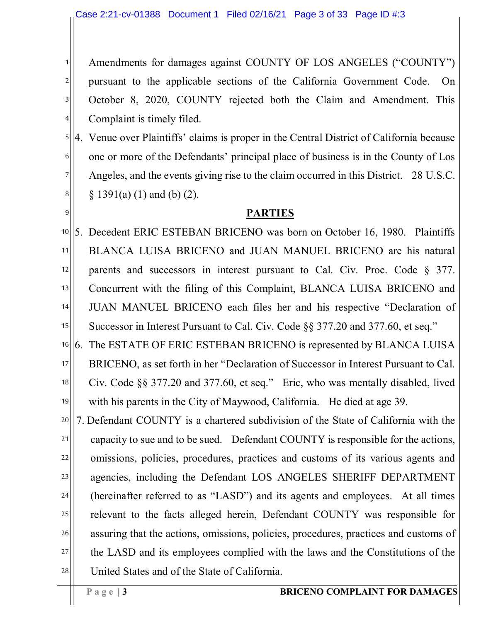Amendments for damages against COUNTY OF LOS ANGELES ("COUNTY") pursuant to the applicable sections of the California Government Code. On October 8, 2020, COUNTY rejected both the Claim and Amendment. This Complaint is timely filed.

5 6 7 8 4. Venue over Plaintiffs' claims is proper in the Central District of California because one or more of the Defendants' principal place of business is in the County of Los Angeles, and the events giving rise to the claim occurred in this District. 28 U.S.C. § 1391(a) (1) and (b) (2).

#### **PARTIES**

10 11 12 13 14 15 5. Decedent ERIC ESTEBAN BRICENO was born on October 16, 1980. Plaintiffs BLANCA LUISA BRICENO and JUAN MANUEL BRICENO are his natural parents and successors in interest pursuant to Cal. Civ. Proc. Code § 377. Concurrent with the filing of this Complaint, BLANCA LUISA BRICENO and JUAN MANUEL BRICENO each files her and his respective "Declaration of Successor in Interest Pursuant to Cal. Civ. Code §§ 377.20 and 377.60, et seq."

16 17 18 19 6. The ESTATE OF ERIC ESTEBAN BRICENO is represented by BLANCA LUISA BRICENO, as set forth in her "Declaration of Successor in Interest Pursuant to Cal. Civ. Code §§ 377.20 and 377.60, et seq." Eric, who was mentally disabled, lived with his parents in the City of Maywood, California. He died at age 39.

20 21 22 23 24 25 26 27 28 7. Defendant COUNTY is a chartered subdivision of the State of California with the capacity to sue and to be sued. Defendant COUNTY is responsible for the actions, omissions, policies, procedures, practices and customs of its various agents and agencies, including the Defendant LOS ANGELES SHERIFF DEPARTMENT (hereinafter referred to as "LASD") and its agents and employees. At all times relevant to the facts alleged herein, Defendant COUNTY was responsible for assuring that the actions, omissions, policies, procedures, practices and customs of the LASD and its employees complied with the laws and the Constitutions of the United States and of the State of California.

1

2

3

4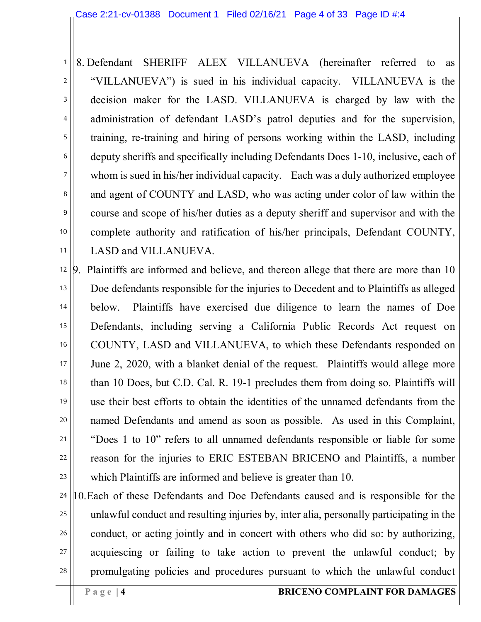1 2 3 4 5 6 7 8 9 10 11 8. Defendant SHERIFF ALEX VILLANUEVA (hereinafter referred to as "VILLANUEVA") is sued in his individual capacity. VILLANUEVA is the decision maker for the LASD. VILLANUEVA is charged by law with the administration of defendant LASD's patrol deputies and for the supervision, training, re-training and hiring of persons working within the LASD, including deputy sheriffs and specifically including Defendants Does 1-10, inclusive, each of whom is sued in his/her individual capacity. Each was a duly authorized employee and agent of COUNTY and LASD, who was acting under color of law within the course and scope of his/her duties as a deputy sheriff and supervisor and with the complete authority and ratification of his/her principals, Defendant COUNTY, LASD and VILLANUEVA.

12 13 14 15 16 17 18 19 20 21 22 23 9. Plaintiffs are informed and believe, and thereon allege that there are more than 10 Doe defendants responsible for the injuries to Decedent and to Plaintiffs as alleged below. Plaintiffs have exercised due diligence to learn the names of Doe Defendants, including serving a California Public Records Act request on COUNTY, LASD and VILLANUEVA, to which these Defendants responded on June 2, 2020, with a blanket denial of the request. Plaintiffs would allege more than 10 Does, but C.D. Cal. R. 19-1 precludes them from doing so. Plaintiffs will use their best efforts to obtain the identities of the unnamed defendants from the named Defendants and amend as soon as possible. As used in this Complaint, "Does 1 to 10" refers to all unnamed defendants responsible or liable for some reason for the injuries to ERIC ESTEBAN BRICENO and Plaintiffs, a number which Plaintiffs are informed and believe is greater than 10.

24 25 26 27 28 10.Each of these Defendants and Doe Defendants caused and is responsible for the unlawful conduct and resulting injuries by, inter alia, personally participating in the conduct, or acting jointly and in concert with others who did so: by authorizing, acquiescing or failing to take action to prevent the unlawful conduct; by promulgating policies and procedures pursuant to which the unlawful conduct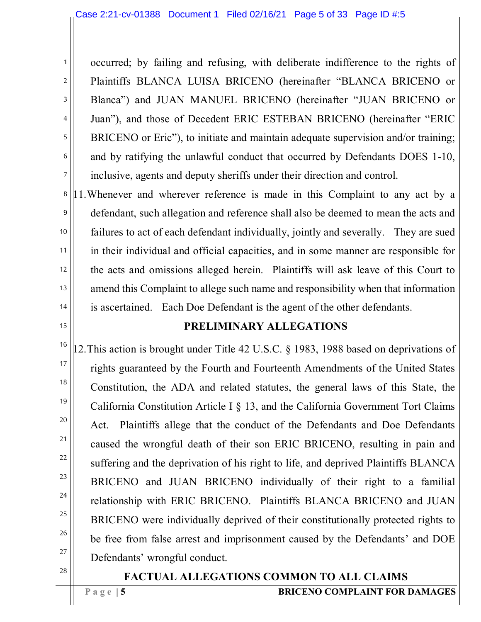occurred; by failing and refusing, with deliberate indifference to the rights of Plaintiffs BLANCA LUISA BRICENO (hereinafter "BLANCA BRICENO or Blanca") and JUAN MANUEL BRICENO (hereinafter "JUAN BRICENO or Juan"), and those of Decedent ERIC ESTEBAN BRICENO (hereinafter "ERIC BRICENO or Eric"), to initiate and maintain adequate supervision and/or training; and by ratifying the unlawful conduct that occurred by Defendants DOES 1-10, inclusive, agents and deputy sheriffs under their direction and control.

11.Whenever and wherever reference is made in this Complaint to any act by a defendant, such allegation and reference shall also be deemed to mean the acts and failures to act of each defendant individually, jointly and severally. They are sued in their individual and official capacities, and in some manner are responsible for the acts and omissions alleged herein. Plaintiffs will ask leave of this Court to amend this Complaint to allege such name and responsibility when that information is ascertained. Each Doe Defendant is the agent of the other defendants.

### **PRELIMINARY ALLEGATIONS**

12.This action is brought under Title 42 U.S.C. § 1983, 1988 based on deprivations of rights guaranteed by the Fourth and Fourteenth Amendments of the United States Constitution, the ADA and related statutes, the general laws of this State, the California Constitution Article I § 13, and the California Government Tort Claims Act. Plaintiffs allege that the conduct of the Defendants and Doe Defendants caused the wrongful death of their son ERIC BRICENO, resulting in pain and suffering and the deprivation of his right to life, and deprived Plaintiffs BLANCA BRICENO and JUAN BRICENO individually of their right to a familial relationship with ERIC BRICENO. Plaintiffs BLANCA BRICENO and JUAN BRICENO were individually deprived of their constitutionally protected rights to be free from false arrest and imprisonment caused by the Defendants' and DOE Defendants' wrongful conduct.

### **FACTUAL ALLEGATIONS COMMON TO ALL CLAIMS**

1

2

3

4

5

6

7

8

9

10

11

12

13

14

15

16

17

18

19

20

21

22

23

24

25

26

27

28

**Page** | 5 **BRICENO COMPLAINT FOR DAMAGES**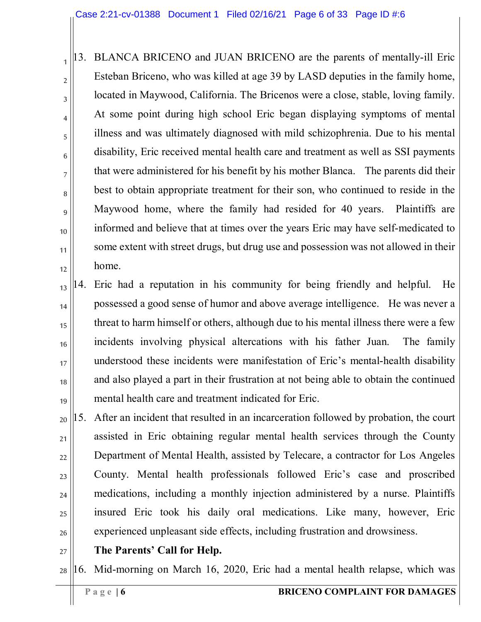1 2 3 4 5 6 7 8 9 10 11 12 13. BLANCA BRICENO and JUAN BRICENO are the parents of mentally-ill Eric Esteban Briceno, who was killed at age 39 by LASD deputies in the family home, located in Maywood, California. The Bricenos were a close, stable, loving family. At some point during high school Eric began displaying symptoms of mental illness and was ultimately diagnosed with mild schizophrenia. Due to his mental disability, Eric received mental health care and treatment as well as SSI payments that were administered for his benefit by his mother Blanca. The parents did their best to obtain appropriate treatment for their son, who continued to reside in the Maywood home, where the family had resided for 40 years. Plaintiffs are informed and believe that at times over the years Eric may have self-medicated to some extent with street drugs, but drug use and possession was not allowed in their home.

13 14 15 16 17 18 19 14. Eric had a reputation in his community for being friendly and helpful. He possessed a good sense of humor and above average intelligence. He was never a threat to harm himself or others, although due to his mental illness there were a few incidents involving physical altercations with his father Juan. The family understood these incidents were manifestation of Eric's mental-health disability and also played a part in their frustration at not being able to obtain the continued mental health care and treatment indicated for Eric.

20 21 22 23 24 25 26 15. After an incident that resulted in an incarceration followed by probation, the court assisted in Eric obtaining regular mental health services through the County Department of Mental Health, assisted by Telecare, a contractor for Los Angeles County. Mental health professionals followed Eric's case and proscribed medications, including a monthly injection administered by a nurse. Plaintiffs insured Eric took his daily oral medications. Like many, however, Eric experienced unpleasant side effects, including frustration and drowsiness.

27

**The Parents' Call for Help.**

28 16. Mid-morning on March 16, 2020, Eric had a mental health relapse, which was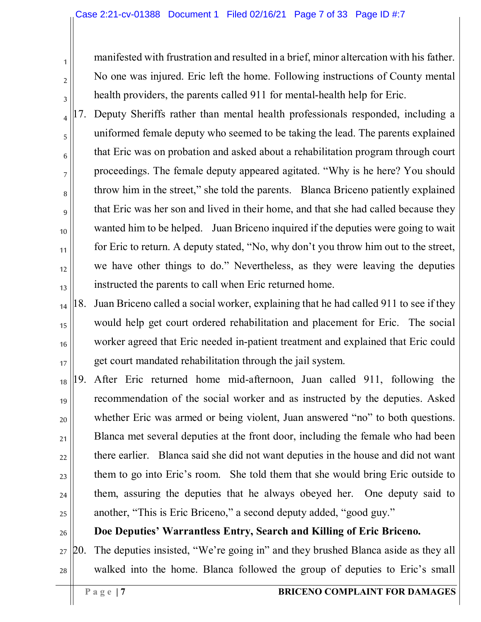manifested with frustration and resulted in a brief, minor altercation with his father. No one was injured. Eric left the home. Following instructions of County mental health providers, the parents called 911 for mental-health help for Eric.

17. Deputy Sheriffs rather than mental health professionals responded, including a uniformed female deputy who seemed to be taking the lead. The parents explained that Eric was on probation and asked about a rehabilitation program through court proceedings. The female deputy appeared agitated. "Why is he here? You should throw him in the street," she told the parents. Blanca Briceno patiently explained that Eric was her son and lived in their home, and that she had called because they wanted him to be helped. Juan Briceno inquired if the deputies were going to wait for Eric to return. A deputy stated, "No, why don't you throw him out to the street, we have other things to do." Nevertheless, as they were leaving the deputies instructed the parents to call when Eric returned home.

14 15 16 17 18. Juan Briceno called a social worker, explaining that he had called 911 to see if they would help get court ordered rehabilitation and placement for Eric. The social worker agreed that Eric needed in-patient treatment and explained that Eric could get court mandated rehabilitation through the jail system.

18 19 20 21 22 23 24 25 19. After Eric returned home mid-afternoon, Juan called 911, following the recommendation of the social worker and as instructed by the deputies. Asked whether Eric was armed or being violent, Juan answered "no" to both questions. Blanca met several deputies at the front door, including the female who had been there earlier. Blanca said she did not want deputies in the house and did not want them to go into Eric's room. She told them that she would bring Eric outside to them, assuring the deputies that he always obeyed her. One deputy said to another, "This is Eric Briceno," a second deputy added, "good guy."

**Doe Deputies' Warrantless Entry, Search and Killing of Eric Briceno.**

27 28 20. The deputies insisted, "We're going in" and they brushed Blanca aside as they all walked into the home. Blanca followed the group of deputies to Eric's small

1

2

3

4

5

6

7

8

9

10

11

12

13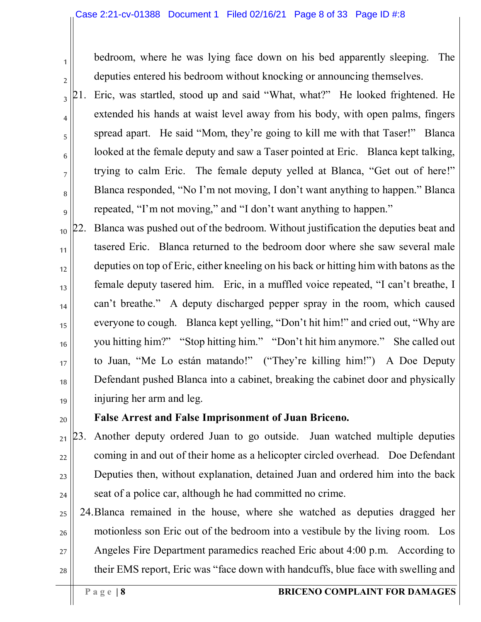#### Case 2:21-cv-01388 Document 1 Filed 02/16/21 Page 8 of 33 Page ID #:8

2 3

4

5

6

7

8

9

1

bedroom, where he was lying face down on his bed apparently sleeping. The deputies entered his bedroom without knocking or announcing themselves.

21. Eric, was startled, stood up and said "What, what?" He looked frightened. He extended his hands at waist level away from his body, with open palms, fingers spread apart. He said "Mom, they're going to kill me with that Taser!" Blanca looked at the female deputy and saw a Taser pointed at Eric. Blanca kept talking, trying to calm Eric. The female deputy yelled at Blanca, "Get out of here!" Blanca responded, "No I'm not moving, I don't want anything to happen." Blanca repeated, "I'm not moving," and "I don't want anything to happen."

10 11 12 13 14 15 16 17 18 19 22. Blanca was pushed out of the bedroom. Without justification the deputies beat and tasered Eric. Blanca returned to the bedroom door where she saw several male deputies on top of Eric, either kneeling on his back or hitting him with batons as the female deputy tasered him. Eric, in a muffled voice repeated, "I can't breathe, I can't breathe." A deputy discharged pepper spray in the room, which caused everyone to cough. Blanca kept yelling, "Don't hit him!" and cried out, "Why are you hitting him?" "Stop hitting him." "Don't hit him anymore." She called out to Juan, "Me Lo están matando!" ("They're killing him!") A Doe Deputy Defendant pushed Blanca into a cabinet, breaking the cabinet door and physically injuring her arm and leg.

20

### **False Arrest and False Imprisonment of Juan Briceno.**

21 22 23 24 23. Another deputy ordered Juan to go outside. Juan watched multiple deputies coming in and out of their home as a helicopter circled overhead. Doe Defendant Deputies then, without explanation, detained Juan and ordered him into the back seat of a police car, although he had committed no crime.

25 26 27 28 24.Blanca remained in the house, where she watched as deputies dragged her motionless son Eric out of the bedroom into a vestibule by the living room. Los Angeles Fire Department paramedics reached Eric about 4:00 p.m. According to their EMS report, Eric was "face down with handcuffs, blue face with swelling and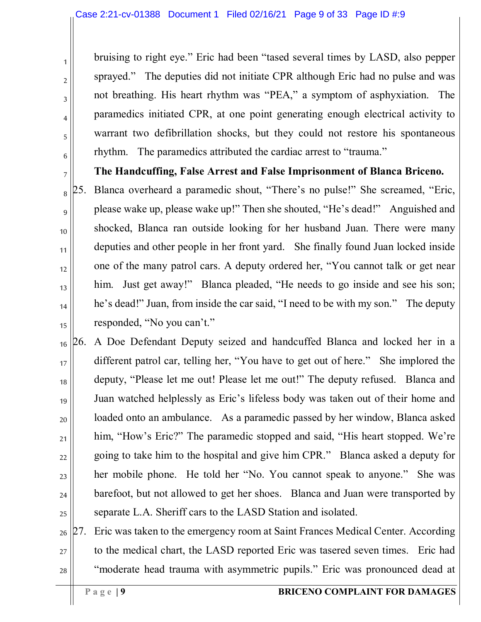bruising to right eye." Eric had been "tased several times by LASD, also pepper sprayed." The deputies did not initiate CPR although Eric had no pulse and was not breathing. His heart rhythm was "PEA," a symptom of asphyxiation. The paramedics initiated CPR, at one point generating enough electrical activity to warrant two defibrillation shocks, but they could not restore his spontaneous rhythm. The paramedics attributed the cardiac arrest to "trauma."

**The Handcuffing, False Arrest and False Imprisonment of Blanca Briceno.**

25. Blanca overheard a paramedic shout, "There's no pulse!" She screamed, "Eric, please wake up, please wake up!" Then she shouted, "He's dead!" Anguished and shocked, Blanca ran outside looking for her husband Juan. There were many deputies and other people in her front yard. She finally found Juan locked inside one of the many patrol cars. A deputy ordered her, "You cannot talk or get near him. Just get away!" Blanca pleaded, "He needs to go inside and see his son; he's dead!" Juan, from inside the car said, "I need to be with my son." The deputy responded, "No you can't."

16 17 18 19 20 21 22 23 24 25 26. A Doe Defendant Deputy seized and handcuffed Blanca and locked her in a different patrol car, telling her, "You have to get out of here." She implored the deputy, "Please let me out! Please let me out!" The deputy refused. Blanca and Juan watched helplessly as Eric's lifeless body was taken out of their home and loaded onto an ambulance. As a paramedic passed by her window, Blanca asked him, "How's Eric?" The paramedic stopped and said, "His heart stopped. We're going to take him to the hospital and give him CPR." Blanca asked a deputy for her mobile phone. He told her "No. You cannot speak to anyone." She was barefoot, but not allowed to get her shoes. Blanca and Juan were transported by separate L.A. Sheriff cars to the LASD Station and isolated.

26 27 28 27. Eric was taken to the emergency room at Saint Frances Medical Center. According to the medical chart, the LASD reported Eric was tasered seven times. Eric had "moderate head trauma with asymmetric pupils." Eric was pronounced dead at

1

2

3

4

5

6

7

8

9

10

11

12

13

14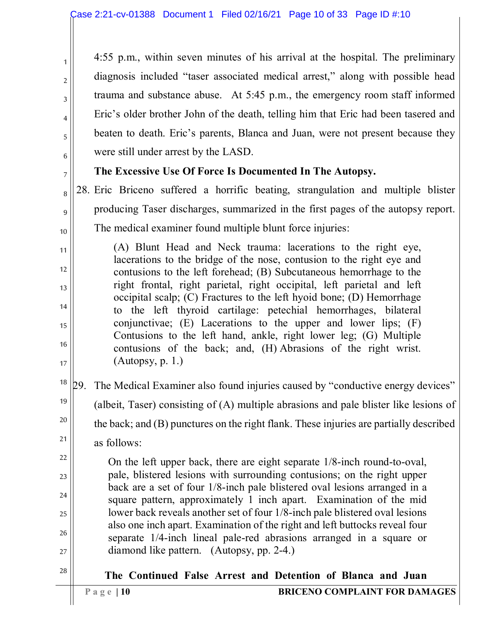4:55 p.m., within seven minutes of his arrival at the hospital. The preliminary diagnosis included "taser associated medical arrest," along with possible head trauma and substance abuse. At 5:45 p.m., the emergency room staff informed Eric's older brother John of the death, telling him that Eric had been tasered and beaten to death. Eric's parents, Blanca and Juan, were not present because they were still under arrest by the LASD.

## **The Excessive Use Of Force Is Documented In The Autopsy.**

28. Eric Briceno suffered a horrific beating, strangulation and multiple blister producing Taser discharges, summarized in the first pages of the autopsy report. The medical examiner found multiple blunt force injuries:

(A) Blunt Head and Neck trauma: lacerations to the right eye, lacerations to the bridge of the nose, contusion to the right eye and contusions to the left forehead; (B) Subcutaneous hemorrhage to the right frontal, right parietal, right occipital, left parietal and left occipital scalp; (C) Fractures to the left hyoid bone; (D) Hemorrhage to the left thyroid cartilage: petechial hemorrhages, bilateral conjunctivae; (E) Lacerations to the upper and lower lips; (F) Contusions to the left hand, ankle, right lower leg; (G) Multiple contusions of the back; and, (H) Abrasions of the right wrist. (Autopsy, p. 1.)

18 19 20 21 29. The Medical Examiner also found injuries caused by "conductive energy devices" (albeit, Taser) consisting of (A) multiple abrasions and pale blister like lesions of the back; and (B) punctures on the right flank. These injuries are partially described as follows:

On the left upper back, there are eight separate 1/8-inch round-to-oval, pale, blistered lesions with surrounding contusions; on the right upper back are a set of four 1/8-inch pale blistered oval lesions arranged in a square pattern, approximately 1 inch apart. Examination of the mid lower back reveals another set of four 1/8-inch pale blistered oval lesions also one inch apart. Examination of the right and left buttocks reveal four separate 1/4-inch lineal pale-red abrasions arranged in a square or diamond like pattern. (Autopsy, pp. 2-4.)

27 28

1

2

3

4

5

6

7

8

9

10

11

12

13

14

15

16

17

22

23

24

25

26

**The Continued False Arrest and Detention of Blanca and Juan**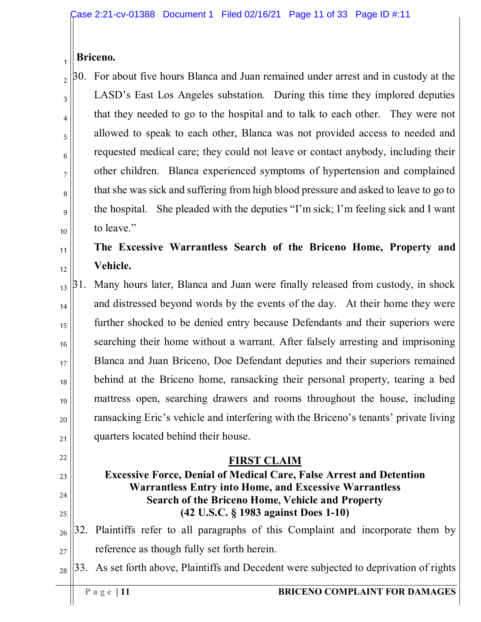#### 1 **Briceno.**

2 3 4 5 6 7 8 9 10 30. For about five hours Blanca and Juan remained under arrest and in custody at the LASD's East Los Angeles substation. During this time they implored deputies that they needed to go to the hospital and to talk to each other. They were not allowed to speak to each other, Blanca was not provided access to needed and requested medical care; they could not leave or contact anybody, including their other children. Blanca experienced symptoms of hypertension and complained that she was sick and suffering from high blood pressure and asked to leave to go to the hospital. She pleaded with the deputies "I'm sick; I'm feeling sick and I want to leave."

#### 11 12 **The Excessive Warrantless Search of the Briceno Home, Property and Vehicle.**

13 14 15 16 17 18 19 20 21 31. Many hours later, Blanca and Juan were finally released from custody, in shock and distressed beyond words by the events of the day. At their home they were further shocked to be denied entry because Defendants and their superiors were searching their home without a warrant. After falsely arresting and imprisoning Blanca and Juan Briceno, Doe Defendant deputies and their superiors remained behind at the Briceno home, ransacking their personal property, tearing a bed mattress open, searching drawers and rooms throughout the house, including ransacking Eric's vehicle and interfering with the Briceno's tenants' private living quarters located behind their house.

### **FIRST CLAIM**

### **Excessive Force, Denial of Medical Care, False Arrest and Detention Warrantless Entry into Home, and Excessive Warrantless Search of the Briceno Home, Vehicle and Property (42 U.S.C. § 1983 against Does 1-10)**

26 27 32. Plaintiffs refer to all paragraphs of this Complaint and incorporate them by reference as though fully set forth herein.

28 33. As set forth above, Plaintiffs and Decedent were subjected to deprivation of rights

22

23

24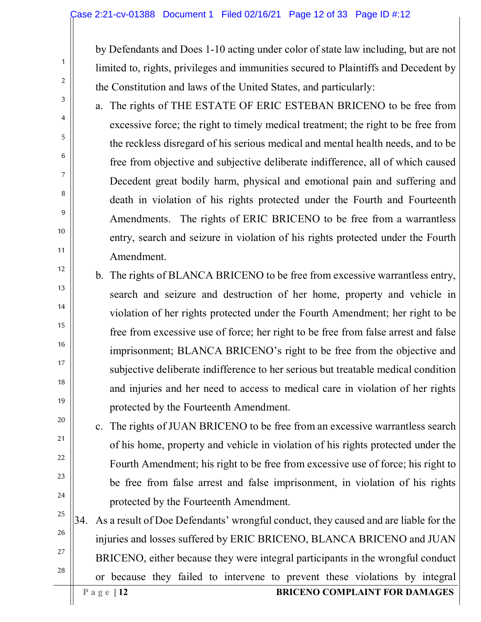#### Case 2:21-cv-01388 Document 1 Filed 02/16/21 Page 12 of 33 Page ID #:12

by Defendants and Does 1-10 acting under color of state law including, but are not limited to, rights, privileges and immunities secured to Plaintiffs and Decedent by the Constitution and laws of the United States, and particularly:

- a. The rights of THE ESTATE OF ERIC ESTEBAN BRICENO to be free from excessive force; the right to timely medical treatment; the right to be free from the reckless disregard of his serious medical and mental health needs, and to be free from objective and subjective deliberate indifference, all of which caused Decedent great bodily harm, physical and emotional pain and suffering and death in violation of his rights protected under the Fourth and Fourteenth Amendments. The rights of ERIC BRICENO to be free from a warrantless entry, search and seizure in violation of his rights protected under the Fourth Amendment.
- b. The rights of BLANCA BRICENO to be free from excessive warrantless entry, search and seizure and destruction of her home, property and vehicle in violation of her rights protected under the Fourth Amendment; her right to be free from excessive use of force; her right to be free from false arrest and false imprisonment; BLANCA BRICENO's right to be free from the objective and subjective deliberate indifference to her serious but treatable medical condition and injuries and her need to access to medical care in violation of her rights protected by the Fourteenth Amendment.
- c. The rights of JUAN BRICENO to be free from an excessive warrantless search of his home, property and vehicle in violation of his rights protected under the Fourth Amendment; his right to be free from excessive use of force; his right to be free from false arrest and false imprisonment, in violation of his rights protected by the Fourteenth Amendment.
- 25 26 27 28 34. As a result of Doe Defendants' wrongful conduct, they caused and are liable for the injuries and losses suffered by ERIC BRICENO, BLANCA BRICENO and JUAN BRICENO, either because they were integral participants in the wrongful conduct or because they failed to intervene to prevent these violations by integral

1

2

3

4

5

6

7

8

9

10

11

12

13

14

15

16

17

18

19

20

21

22

23

24

#### **Page** | 12 **BRICENO COMPLAINT FOR DAMAGES**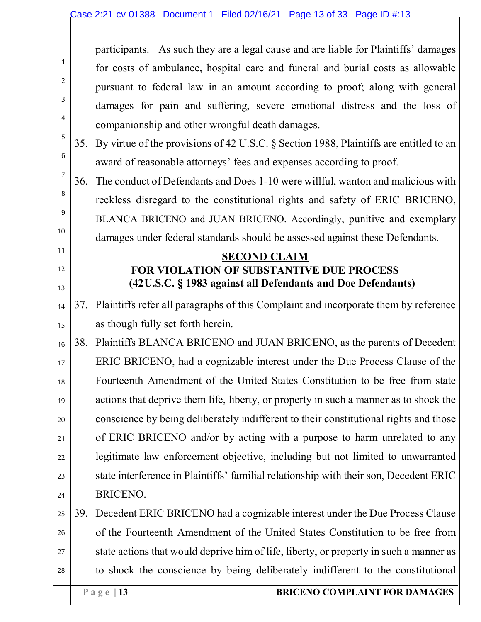|                |     | participants. As such they are a legal cause and are liable for Plaintiffs' damages    |
|----------------|-----|----------------------------------------------------------------------------------------|
| 1              |     | for costs of ambulance, hospital care and funeral and burial costs as allowable        |
| $\overline{2}$ |     | pursuant to federal law in an amount according to proof; along with general            |
| 3              |     | damages for pain and suffering, severe emotional distress and the loss of              |
| 4              |     | companionship and other wrongful death damages.                                        |
| 5              | 35. | By virtue of the provisions of 42 U.S.C. § Section 1988, Plaintiffs are entitled to an |
| 6              |     | award of reasonable attorneys' fees and expenses according to proof.                   |
| 7              | 36. | The conduct of Defendants and Does 1-10 were willful, wanton and malicious with        |
| 8              |     | reckless disregard to the constitutional rights and safety of ERIC BRICENO,            |
| 9              |     | BLANCA BRICENO and JUAN BRICENO. Accordingly, punitive and exemplary                   |
| 10             |     | damages under federal standards should be assessed against these Defendants.           |
| 11             |     | <b>SECOND CLAIM</b>                                                                    |
| 12             |     | <b>FOR VIOLATION OF SUBSTANTIVE DUE PROCESS</b>                                        |
| 13             |     | (42U.S.C. § 1983 against all Defendants and Doe Defendants)                            |
| 14             | 37. | Plaintiffs refer all paragraphs of this Complaint and incorporate them by reference    |
| 15             |     | as though fully set forth herein.                                                      |
| 16             | 38. | Plaintiffs BLANCA BRICENO and JUAN BRICENO, as the parents of Decedent                 |
| 17             |     | ERIC BRICENO, had a cognizable interest under the Due Process Clause of the            |
| 18             |     | Fourteenth Amendment of the United States Constitution to be free from state           |
| 19             |     | actions that deprive them life, liberty, or property in such a manner as to shock the  |
| 20             |     | conscience by being deliberately indifferent to their constitutional rights and those  |
| 21             |     | of ERIC BRICENO and/or by acting with a purpose to harm unrelated to any               |
| 22             |     | legitimate law enforcement objective, including but not limited to unwarranted         |
| 23             |     | state interference in Plaintiffs' familial relationship with their son, Decedent ERIC  |
| 24             |     | BRICENO.                                                                               |
| 25             | 39. | Decedent ERIC BRICENO had a cognizable interest under the Due Process Clause           |
| 26             |     | of the Fourteenth Amendment of the United States Constitution to be free from          |
| 27             |     | state actions that would deprive him of life, liberty, or property in such a manner as |
| 28             |     | to shock the conscience by being deliberately indifferent to the constitutional        |
|                |     | <b>BRICENO COMPLAINT FOR DAMAGES</b><br>Page $ 13$                                     |

 $\parallel$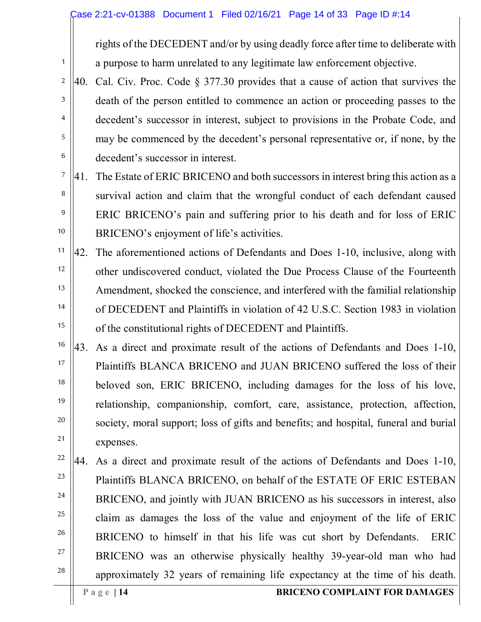rights of the DECEDENT and/or by using deadly force after time to deliberate with a purpose to harm unrelated to any legitimate law enforcement objective.

- 2 3 4 5 6 40. Cal. Civ. Proc. Code § 377.30 provides that a cause of action that survives the death of the person entitled to commence an action or proceeding passes to the decedent's successor in interest, subject to provisions in the Probate Code, and may be commenced by the decedent's personal representative or, if none, by the decedent's successor in interest.
- 7 8 9 10 41. The Estate of ERIC BRICENO and both successors in interest bring this action as a survival action and claim that the wrongful conduct of each defendant caused ERIC BRICENO's pain and suffering prior to his death and for loss of ERIC BRICENO's enjoyment of life's activities.
- 11 12 13 14 15 42. The aforementioned actions of Defendants and Does 1-10, inclusive, along with other undiscovered conduct, violated the Due Process Clause of the Fourteenth Amendment, shocked the conscience, and interfered with the familial relationship of DECEDENT and Plaintiffs in violation of 42 U.S.C. Section 1983 in violation of the constitutional rights of DECEDENT and Plaintiffs.
- 16 17 18 19 20 21 43. As a direct and proximate result of the actions of Defendants and Does 1-10, Plaintiffs BLANCA BRICENO and JUAN BRICENO suffered the loss of their beloved son, ERIC BRICENO, including damages for the loss of his love, relationship, companionship, comfort, care, assistance, protection, affection, society, moral support; loss of gifts and benefits; and hospital, funeral and burial expenses.
- 22 23 24 25 26 27 28 44. As a direct and proximate result of the actions of Defendants and Does 1-10, Plaintiffs BLANCA BRICENO, on behalf of the ESTATE OF ERIC ESTEBAN BRICENO, and jointly with JUAN BRICENO as his successors in interest, also claim as damages the loss of the value and enjoyment of the life of ERIC BRICENO to himself in that his life was cut short by Defendants. ERIC BRICENO was an otherwise physically healthy 39-year-old man who had approximately 32 years of remaining life expectancy at the time of his death.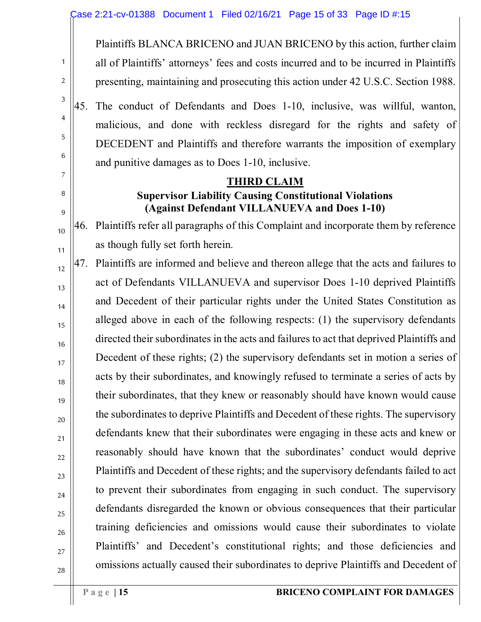Plaintiffs BLANCA BRICENO and JUAN BRICENO by this action, further claim all of Plaintiffs' attorneys' fees and costs incurred and to be incurred in Plaintiffs presenting, maintaining and prosecuting this action under 42 U.S.C. Section 1988.

45. The conduct of Defendants and Does 1-10, inclusive, was willful, wanton, malicious, and done with reckless disregard for the rights and safety of DECEDENT and Plaintiffs and therefore warrants the imposition of exemplary and punitive damages as to Does 1-10, inclusive.

### **THIRD CLAIM Supervisor Liability Causing Constitutional Violations (Against Defendant VILLANUEVA and Does 1-10)**

46. Plaintiffs refer all paragraphs of this Complaint and incorporate them by reference as though fully set forth herein.

47. Plaintiffs are informed and believe and thereon allege that the acts and failures to act of Defendants VILLANUEVA and supervisor Does 1-10 deprived Plaintiffs and Decedent of their particular rights under the United States Constitution as alleged above in each of the following respects: (1) the supervisory defendants directed their subordinates in the acts and failures to act that deprived Plaintiffs and Decedent of these rights; (2) the supervisory defendants set in motion a series of acts by their subordinates, and knowingly refused to terminate a series of acts by their subordinates, that they knew or reasonably should have known would cause the subordinates to deprive Plaintiffs and Decedent of these rights. The supervisory defendants knew that their subordinates were engaging in these acts and knew or reasonably should have known that the subordinates' conduct would deprive Plaintiffs and Decedent of these rights; and the supervisory defendants failed to act to prevent their subordinates from engaging in such conduct. The supervisory defendants disregarded the known or obvious consequences that their particular training deficiencies and omissions would cause their subordinates to violate Plaintiffs' and Decedent's constitutional rights; and those deficiencies and omissions actually caused their subordinates to deprive Plaintiffs and Decedent of

1

2

3

4

5

6

7

8

9

10

11

12

13

14

15

16

17

18

19

20

21

22

23

24

25

26

27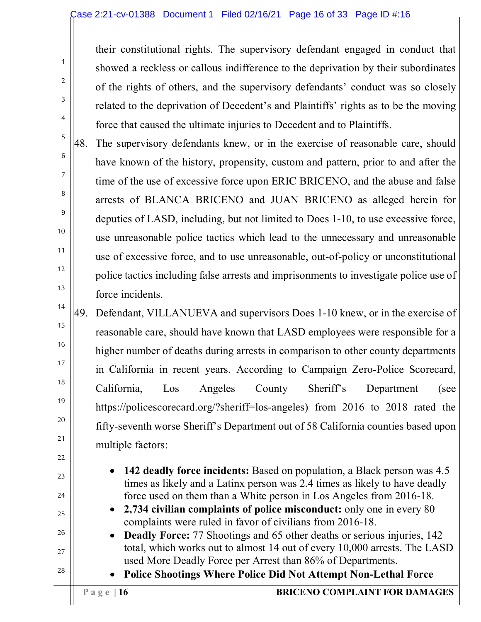their constitutional rights. The supervisory defendant engaged in conduct that showed a reckless or callous indifference to the deprivation by their subordinates of the rights of others, and the supervisory defendants' conduct was so closely related to the deprivation of Decedent's and Plaintiffs' rights as to be the moving force that caused the ultimate injuries to Decedent and to Plaintiffs.

48. The supervisory defendants knew, or in the exercise of reasonable care, should have known of the history, propensity, custom and pattern, prior to and after the time of the use of excessive force upon ERIC BRICENO, and the abuse and false arrests of BLANCA BRICENO and JUAN BRICENO as alleged herein for deputies of LASD, including, but not limited to Does 1-10, to use excessive force, use unreasonable police tactics which lead to the unnecessary and unreasonable use of excessive force, and to use unreasonable, out-of-policy or unconstitutional police tactics including false arrests and imprisonments to investigate police use of force incidents.

49. Defendant, VILLANUEVA and supervisors Does 1-10 knew, or in the exercise of reasonable care, should have known that LASD employees were responsible for a higher number of deaths during arrests in comparison to other county departments in California in recent years. According to Campaign Zero-Police Scorecard, California, Los Angeles County Sheriff's Department (see https://policescorecard.org/?sheriff=los-angeles) from 2016 to 2018 rated the fifty-seventh worse Sheriff's Department out of 58 California counties based upon multiple factors:

- **142 deadly force incidents:** Based on population, a Black person was 4.5 times as likely and a Latinx person was 2.4 times as likely to have deadly force used on them than a White person in Los Angeles from 2016-18.
	- **2,734 civilian complaints of police misconduct:** only one in every 80 complaints were ruled in favor of civilians from 2016-18.
- **Deadly Force:** 77 Shootings and 65 other deaths or serious injuries, 142 total, which works out to almost 14 out of every 10,000 arrests. The LASD used More Deadly Force per Arrest than 86% of Departments.
	- **Police Shootings Where Police Did Not Attempt Non-Lethal Force**

1

2

3

4

5

6

7

8

9

10

11

12

13

14

15

16

17

18

19

20

21

22

23

24

25

26

27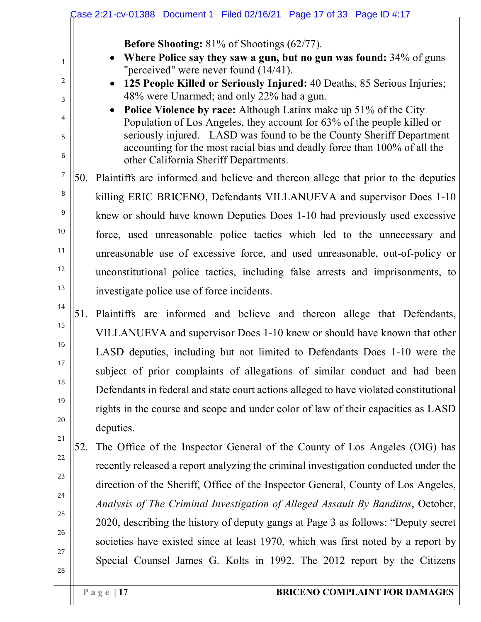|     | <b>Before Shooting:</b> 81% of Shootings (62/77).                                                                                                                                                                                                                                                        |
|-----|----------------------------------------------------------------------------------------------------------------------------------------------------------------------------------------------------------------------------------------------------------------------------------------------------------|
|     | <b>Where Police say they saw a gun, but no gun was found:</b> 34% of guns<br>"perceived" were never found $(14/41)$ .                                                                                                                                                                                    |
|     | 125 People Killed or Seriously Injured: 40 Deaths, 85 Serious Injuries;                                                                                                                                                                                                                                  |
|     | 48% were Unarmed; and only 22% had a gun.                                                                                                                                                                                                                                                                |
|     | <b>Police Violence by race:</b> Although Latinx make up 51% of the City<br>Population of Los Angeles, they account for 63% of the people killed or<br>seriously injured. LASD was found to be the County Sheriff Department<br>accounting for the most racial bias and deadly force than 100% of all the |
|     | other California Sheriff Departments.                                                                                                                                                                                                                                                                    |
|     | 50. Plaintiffs are informed and believe and thereon allege that prior to the deputies                                                                                                                                                                                                                    |
|     | killing ERIC BRICENO, Defendants VILLANUEVA and supervisor Does 1-10                                                                                                                                                                                                                                     |
|     | knew or should have known Deputies Does 1-10 had previously used excessive                                                                                                                                                                                                                               |
|     | force, used unreasonable police tactics which led to the unnecessary and                                                                                                                                                                                                                                 |
|     | unreasonable use of excessive force, and used unreasonable, out-of-policy or                                                                                                                                                                                                                             |
|     | unconstitutional police tactics, including false arrests and imprisonments, to                                                                                                                                                                                                                           |
|     | investigate police use of force incidents.                                                                                                                                                                                                                                                               |
|     | 51. Plaintiffs are informed and believe and thereon allege that Defendants,                                                                                                                                                                                                                              |
|     | VILLANUEVA and supervisor Does 1-10 knew or should have known that other                                                                                                                                                                                                                                 |
|     | LASD deputies, including but not limited to Defendants Does 1-10 were the                                                                                                                                                                                                                                |
|     | subject of prior complaints of allegations of similar conduct and had been                                                                                                                                                                                                                               |
|     | Defendants in federal and state court actions alleged to have violated constitutional                                                                                                                                                                                                                    |
|     | rights in the course and scope and under color of law of their capacities as LASD                                                                                                                                                                                                                        |
|     | deputies.                                                                                                                                                                                                                                                                                                |
| 52. | The Office of the Inspector General of the County of Los Angeles (OIG) has                                                                                                                                                                                                                               |
|     | recently released a report analyzing the criminal investigation conducted under the                                                                                                                                                                                                                      |
|     | direction of the Sheriff, Office of the Inspector General, County of Los Angeles,                                                                                                                                                                                                                        |
|     | Analysis of The Criminal Investigation of Alleged Assault By Banditos, October,                                                                                                                                                                                                                          |
|     | 2020, describing the history of deputy gangs at Page 3 as follows: "Deputy secret                                                                                                                                                                                                                        |
|     | societies have existed since at least 1970, which was first noted by a report by                                                                                                                                                                                                                         |
|     | Special Counsel James G. Kolts in 1992. The 2012 report by the Citizens                                                                                                                                                                                                                                  |
|     | Page $ 17$<br><b>BRICENO COMPLAINT FOR DAMAGES</b>                                                                                                                                                                                                                                                       |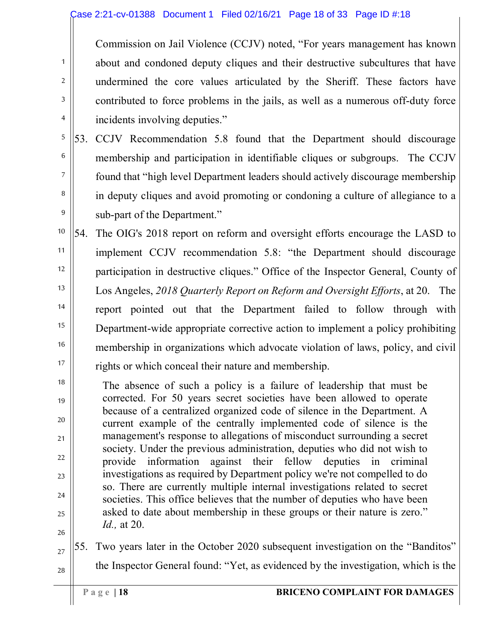#### Case 2:21-cv-01388 Document 1 Filed 02/16/21 Page 18 of 33 Page ID #:18

Commission on Jail Violence (CCJV) noted, "For years management has known about and condoned deputy cliques and their destructive subcultures that have undermined the core values articulated by the Sheriff. These factors have contributed to force problems in the jails, as well as a numerous off-duty force incidents involving deputies."

5 6 7 8 9 53. CCJV Recommendation 5.8 found that the Department should discourage membership and participation in identifiable cliques or subgroups. The CCJV found that "high level Department leaders should actively discourage membership in deputy cliques and avoid promoting or condoning a culture of allegiance to a sub-part of the Department."

10 11 12 13 14 15 16 17 54. The OIG's 2018 report on reform and oversight efforts encourage the LASD to implement CCJV recommendation 5.8: "the Department should discourage participation in destructive cliques." Office of the Inspector General, County of Los Angeles, *2018 Quarterly Report on Reform and Oversight Efforts*, at 20. The report pointed out that the Department failed to follow through with Department-wide appropriate corrective action to implement a policy prohibiting membership in organizations which advocate violation of laws, policy, and civil rights or which conceal their nature and membership.

18 19 20 21 23 24 25 The absence of such a policy is a failure of leadership that must be corrected. For 50 years secret societies have been allowed to operate because of a centralized organized code of silence in the Department. A current example of the centrally implemented code of silence is the management's response to allegations of misconduct surrounding a secret society. Under the previous administration, deputies who did not wish to provide information against their fellow deputies in criminal investigations as required by Department policy we're not compelled to do so. There are currently multiple internal investigations related to secret societies. This office believes that the number of deputies who have been asked to date about membership in these groups or their nature is zero." *Id.,* at 20.

26

27

22

1

2

3

4

28 55. Two years later in the October 2020 subsequent investigation on the "Banditos" the Inspector General found: "Yet, as evidenced by the investigation, which is the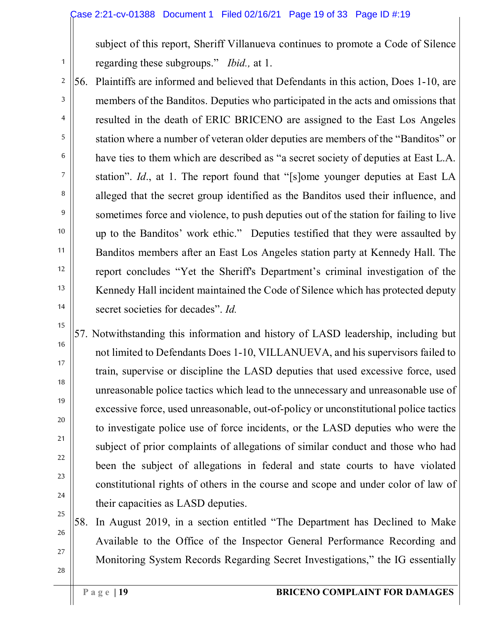subject of this report, Sheriff Villanueva continues to promote a Code of Silence regarding these subgroups." *Ibid.,* at 1.

56. Plaintiffs are informed and believed that Defendants in this action, Does 1-10, are members of the Banditos. Deputies who participated in the acts and omissions that resulted in the death of ERIC BRICENO are assigned to the East Los Angeles station where a number of veteran older deputies are members of the "Banditos" or have ties to them which are described as "a secret society of deputies at East L.A. station". *Id*., at 1. The report found that "[s]ome younger deputies at East LA alleged that the secret group identified as the Banditos used their influence, and sometimes force and violence, to push deputies out of the station for failing to live up to the Banditos' work ethic." Deputies testified that they were assaulted by Banditos members after an East Los Angeles station party at Kennedy Hall. The report concludes "Yet the Sheriff's Department's criminal investigation of the Kennedy Hall incident maintained the Code of Silence which has protected deputy secret societies for decades". *Id.*

57. Notwithstanding this information and history of LASD leadership, including but not limited to Defendants Does 1-10, VILLANUEVA, and his supervisors failed to train, supervise or discipline the LASD deputies that used excessive force, used unreasonable police tactics which lead to the unnecessary and unreasonable use of excessive force, used unreasonable, out-of-policy or unconstitutional police tactics to investigate police use of force incidents, or the LASD deputies who were the subject of prior complaints of allegations of similar conduct and those who had been the subject of allegations in federal and state courts to have violated constitutional rights of others in the course and scope and under color of law of their capacities as LASD deputies.

58. In August 2019, in a section entitled "The Department has Declined to Make Available to the Office of the Inspector General Performance Recording and Monitoring System Records Regarding Secret Investigations," the IG essentially

1

2

3

4

5

6

7

8

9

10

11

12

13

14

15

16

17

18

19

20

21

22

23

24

25

26

27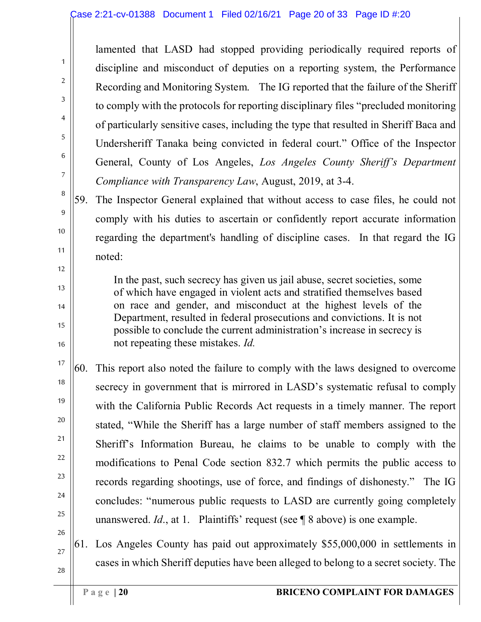lamented that LASD had stopped providing periodically required reports of discipline and misconduct of deputies on a reporting system, the Performance Recording and Monitoring System. The IG reported that the failure of the Sheriff to comply with the protocols for reporting disciplinary files "precluded monitoring of particularly sensitive cases, including the type that resulted in Sheriff Baca and Undersheriff Tanaka being convicted in federal court." Office of the Inspector General, County of Los Angeles, *Los Angeles County Sheriff's Department Compliance with Transparency Law*, August, 2019, at 3-4.

59. The Inspector General explained that without access to case files, he could not comply with his duties to ascertain or confidently report accurate information regarding the department's handling of discipline cases. In that regard the IG noted:

In the past, such secrecy has given us jail abuse, secret societies, some of which have engaged in violent acts and stratified themselves based on race and gender, and misconduct at the highest levels of the Department, resulted in federal prosecutions and convictions. It is not possible to conclude the current administration's increase in secrecy is not repeating these mistakes. *Id.*

60. This report also noted the failure to comply with the laws designed to overcome secrecy in government that is mirrored in LASD's systematic refusal to comply with the California Public Records Act requests in a timely manner. The report stated, "While the Sheriff has a large number of staff members assigned to the Sheriff's Information Bureau, he claims to be unable to comply with the modifications to Penal Code section 832.7 which permits the public access to records regarding shootings, use of force, and findings of dishonesty." The IG concludes: "numerous public requests to LASD are currently going completely unanswered. *Id*., at 1. Plaintiffs' request (see ¶ 8 above) is one example.

28 61. Los Angeles County has paid out approximately \$55,000,000 in settlements in cases in which Sheriff deputies have been alleged to belong to a secret society. The

1

2

3

4

5

6

7

8

9

10

11

12

13

14

15

16

17

18

19

20

21

22

23

24

25

26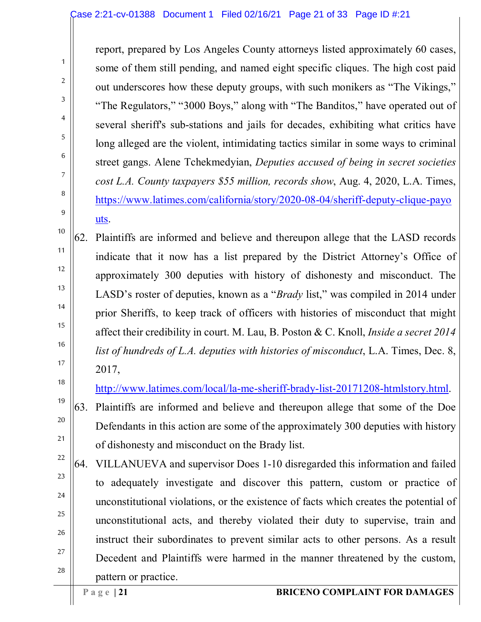report, prepared by Los Angeles County attorneys listed approximately 60 cases, some of them still pending, and named eight specific cliques. The high cost paid out underscores how these deputy groups, with such monikers as "The Vikings," "The Regulators," "3000 Boys," along with "The Banditos," have operated out of several sheriff's sub-stations and jails for decades, exhibiting what critics have long alleged are the violent, intimidating tactics similar in some ways to criminal street gangs. Alene Tchekmedyian, *Deputies accused of being in secret societies cost L.A. County taxpayers \$55 million, records show*, Aug. 4, 2020, L.A. Times, [https://www.latimes.com/california/story/2020-08-04/sheriff-deputy-clique-payo](https://www.latimes.com/california/story/2020-08-04/sheriff-deputy-clique-payouts) [uts.](https://www.latimes.com/california/story/2020-08-04/sheriff-deputy-clique-payouts)

62. Plaintiffs are informed and believe and thereupon allege that the LASD records indicate that it now has a list prepared by the District Attorney's Office of approximately 300 deputies with history of dishonesty and misconduct. The LASD's roster of deputies, known as a "*Brady* list," was compiled in 2014 under prior Sheriffs, to keep track of officers with histories of misconduct that might affect their credibility in court. M. Lau, B. Poston & C. Knoll, *Inside a secret 2014 list of hundreds of L.A. deputies with histories of misconduct*, L.A. Times, Dec. 8, 2017,

[http://www.latimes.com/local/la-me-sheriff-brady-list-20171208-htmlstory.html.](http://www.latimes.com/local/la-me-sheriff-brady-list-20171208-htmlstory.html)

63. Plaintiffs are informed and believe and thereupon allege that some of the Doe Defendants in this action are some of the approximately 300 deputies with history of dishonesty and misconduct on the Brady list.

64. VILLANUEVA and supervisor Does 1-10 disregarded this information and failed to adequately investigate and discover this pattern, custom or practice of unconstitutional violations, or the existence of facts which creates the potential of unconstitutional acts, and thereby violated their duty to supervise, train and instruct their subordinates to prevent similar acts to other persons. As a result Decedent and Plaintiffs were harmed in the manner threatened by the custom, pattern or practice.

1

2

3

4

5

6

7

8

9

10

11

12

13

14

15

16

17

18

19

20

21

22

23

24

25

26

27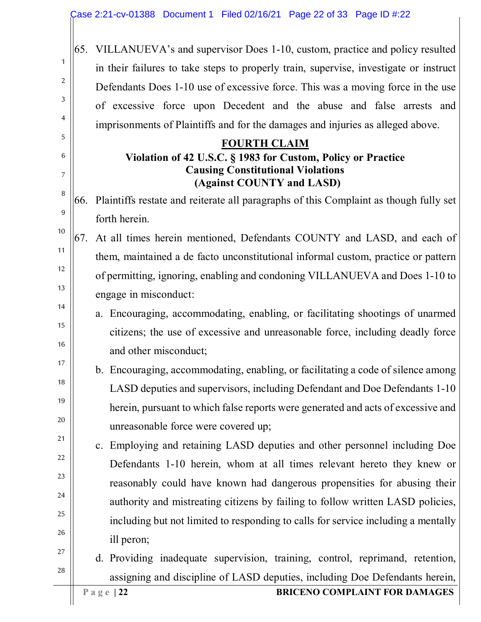65. VILLANUEVA's and supervisor Does 1-10, custom, practice and policy resulted in their failures to take steps to properly train, supervise, investigate or instruct Defendants Does 1-10 use of excessive force. This was a moving force in the use of excessive force upon Decedent and the abuse and false arrests and imprisonments of Plaintiffs and for the damages and injuries as alleged above.

#### **FOURTH CLAIM Violation of 42 U.S.C. § 1983 for Custom, Policy or Practice Causing Constitutional Violations (Against COUNTY and LASD)**

66. Plaintiffs restate and reiterate all paragraphs of this Complaint as though fully set forth herein.

67. At all times herein mentioned, Defendants COUNTY and LASD, and each of them, maintained a de facto unconstitutional informal custom, practice or pattern of permitting, ignoring, enabling and condoning VILLANUEVA and Does 1-10 to engage in misconduct:

# a. Encouraging, accommodating, enabling, or facilitating shootings of unarmed citizens; the use of excessive and unreasonable force, including deadly force and other misconduct;

- b. Encouraging, accommodating, enabling, or facilitating a code of silence among LASD deputies and supervisors, including Defendant and Doe Defendants 1-10 herein, pursuant to which false reports were generated and acts of excessive and unreasonable force were covered up;
- c. Employing and retaining LASD deputies and other personnel including Doe Defendants 1-10 herein, whom at all times relevant hereto they knew or reasonably could have known had dangerous propensities for abusing their authority and mistreating citizens by failing to follow written LASD policies, including but not limited to responding to calls for service including a mentally ill peron;

# d. Providing inadequate supervision, training, control, reprimand, retention, assigning and discipline of LASD deputies, including Doe Defendants herein,

1

2

3

4

5

6

7

8

9

10

11

12

13

14

15

16

17

18

19

20

21

22

23

24

25

26

27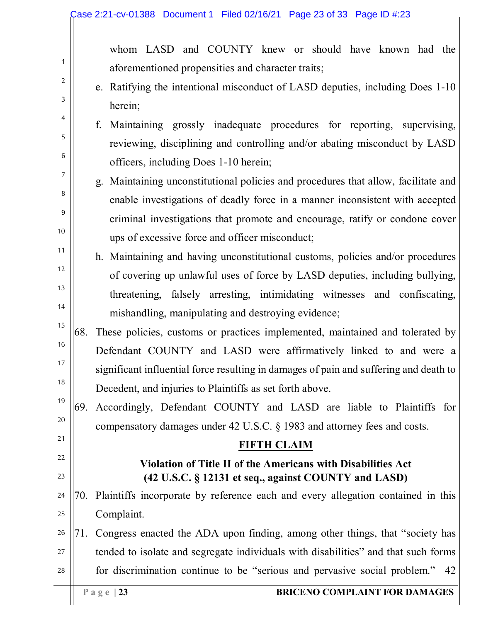whom LASD and COUNTY knew or should have known had the aforementioned propensities and character traits;

- e. Ratifying the intentional misconduct of LASD deputies, including Does 1-10 herein;
- f. Maintaining grossly inadequate procedures for reporting, supervising, reviewing, disciplining and controlling and/or abating misconduct by LASD officers, including Does 1-10 herein;
	- g. Maintaining unconstitutional policies and procedures that allow, facilitate and enable investigations of deadly force in a manner inconsistent with accepted criminal investigations that promote and encourage, ratify or condone cover ups of excessive force and officer misconduct;
- h. Maintaining and having unconstitutional customs, policies and/or procedures of covering up unlawful uses of force by LASD deputies, including bullying, threatening, falsely arresting, intimidating witnesses and confiscating, mishandling, manipulating and destroying evidence;
- 15 16 17 18 68. These policies, customs or practices implemented, maintained and tolerated by Defendant COUNTY and LASD were affirmatively linked to and were a significant influential force resulting in damages of pain and suffering and death to Decedent, and injuries to Plaintiffs as set forth above.

19 20 69. Accordingly, Defendant COUNTY and LASD are liable to Plaintiffs for compensatory damages under 42 U.S.C. § 1983 and attorney fees and costs.

#### **FIFTH CLAIM**

## **Violation of Title II of the Americans with Disabilities Act (42 U.S.C. § 12131 et seq., against COUNTY and LASD)**

- 24 25 70. Plaintiffs incorporate by reference each and every allegation contained in this Complaint.
- 26 27 28 71. Congress enacted the ADA upon finding, among other things, that "society has tended to isolate and segregate individuals with disabilities" and that such forms for discrimination continue to be "serious and pervasive social problem." 42

1

2

3

4

5

6

7

8

9

10

11

12

13

14

21

22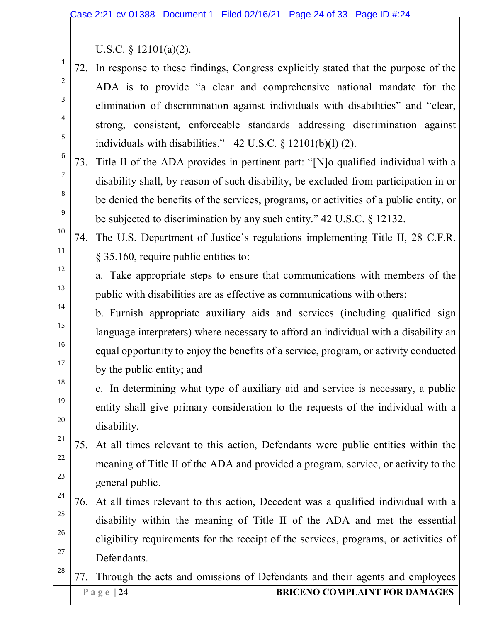U.S.C. § 12101(a)(2).

1

2

3

4

5

6

7

8

9

10

11

12

13

14

15

16

17

18

19

20

21

22

23

24

27

72. In response to these findings, Congress explicitly stated that the purpose of the ADA is to provide "a clear and comprehensive national mandate for the elimination of discrimination against individuals with disabilities" and "clear, strong, consistent, enforceable standards addressing discrimination against individuals with disabilities." 42 U.S.C. § 12101(b)(l) (2).

73. Title II of the ADA provides in pertinent part: "[N]o qualified individual with a disability shall, by reason of such disability, be excluded from participation in or be denied the benefits of the services, programs, or activities of a public entity, or be subjected to discrimination by any such entity." 42 U.S.C. § 12132.

74. The U.S. Department of Justice's regulations implementing Title II, 28 C.F.R. § 35.160, require public entities to:

a. Take appropriate steps to ensure that communications with members of the public with disabilities are as effective as communications with others;

b. Furnish appropriate auxiliary aids and services (including qualified sign language interpreters) where necessary to afford an individual with a disability an equal opportunity to enjoy the benefits of a service, program, or activity conducted by the public entity; and

c. In determining what type of auxiliary aid and service is necessary, a public entity shall give primary consideration to the requests of the individual with a disability.

75. At all times relevant to this action, Defendants were public entities within the meaning of Title II of the ADA and provided a program, service, or activity to the general public.

25 26 76. At all times relevant to this action, Decedent was a qualified individual with a disability within the meaning of Title II of the ADA and met the essential eligibility requirements for the receipt of the services, programs, or activities of Defendants.

28 **Page** | 24 **BRICENO COMPLAINT FOR DAMAGES** 77. Through the acts and omissions of Defendants and their agents and employees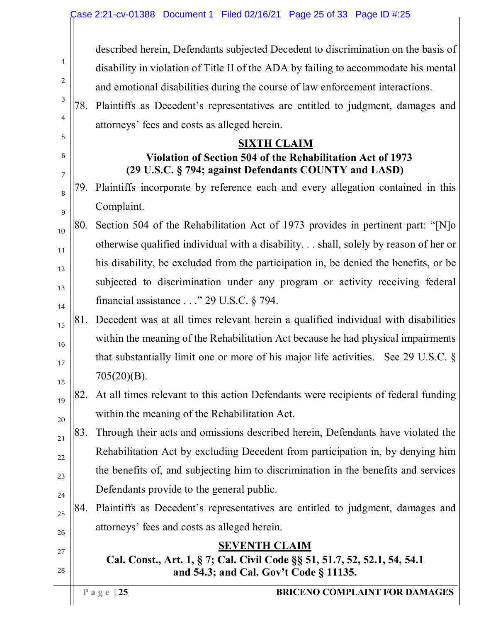described herein, Defendants subjected Decedent to discrimination on the basis of disability in violation of Title II of the ADA by failing to accommodate his mental and emotional disabilities during the course of law enforcement interactions.

78. Plaintiffs as Decedent's representatives are entitled to judgment, damages and attorneys' fees and costs as alleged herein.

#### **SIXTH CLAIM**

## **Violation of Section 504 of the Rehabilitation Act of 1973 (29 U.S.C. § 794; against Defendants COUNTY and LASD)**

- 79. Plaintiffs incorporate by reference each and every allegation contained in this Complaint.
- 10 11 12 13 14 80. Section 504 of the Rehabilitation Act of 1973 provides in pertinent part: "[N]o otherwise qualified individual with a disability. . . shall, solely by reason of her or his disability, be excluded from the participation in, be denied the benefits, or be subjected to discrimination under any program or activity receiving federal financial assistance . . ." 29 U.S.C. § 794.
	- 81. Decedent was at all times relevant herein a qualified individual with disabilities within the meaning of the Rehabilitation Act because he had physical impairments that substantially limit one or more of his major life activities. See 29 U.S.C. § 705(20)(B).
- 18 19

20

21

25

26

27

28

15

16

17

1

2

3

4

5

6

7

8

9

82. At all times relevant to this action Defendants were recipients of federal funding within the meaning of the Rehabilitation Act.

- 22 23 24 83. Through their acts and omissions described herein, Defendants have violated the Rehabilitation Act by excluding Decedent from participation in, by denying him the benefits of, and subjecting him to discrimination in the benefits and services Defendants provide to the general public.
	- 84. Plaintiffs as Decedent's representatives are entitled to judgment, damages and attorneys' fees and costs as alleged herein.

### **SEVENTH CLAIM**

# **Cal. Const., Art. 1, § 7; Cal. Civil Code §§ 51, 51.7, 52, 52.1, 54, 54.1 and 54.3; and Cal. Gov't Code § 11135.**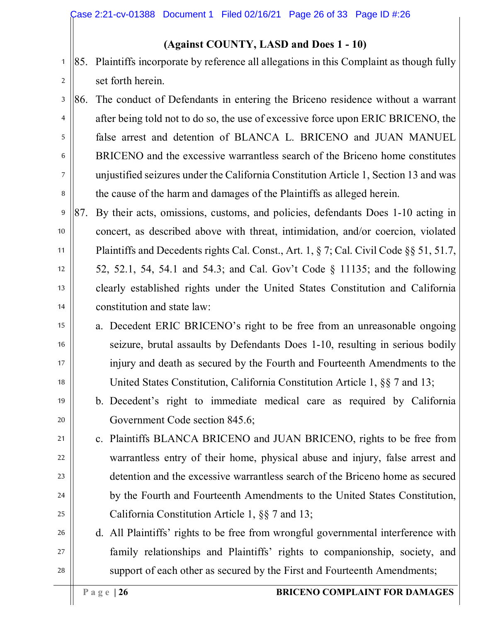#### **(Against COUNTY, LASD and Does 1 - 10)**

85. Plaintiffs incorporate by reference all allegations in this Complaint as though fully set forth herein.

3 4 5 6 7 8 86. The conduct of Defendants in entering the Briceno residence without a warrant after being told not to do so, the use of excessive force upon ERIC BRICENO, the false arrest and detention of BLANCA L. BRICENO and JUAN MANUEL BRICENO and the excessive warrantless search of the Briceno home constitutes unjustified seizures under the California Constitution Article 1, Section 13 and was the cause of the harm and damages of the Plaintiffs as alleged herein.

9 10 11 12 13 14 87. By their acts, omissions, customs, and policies, defendants Does 1-10 acting in concert, as described above with threat, intimidation, and/or coercion, violated Plaintiffs and Decedents rights Cal. Const., Art. 1, § 7; Cal. Civil Code §§ 51, 51.7, 52, 52.1, 54, 54.1 and 54.3; and Cal. Gov't Code § 11135; and the following clearly established rights under the United States Constitution and California constitution and state law:

- a. Decedent ERIC BRICENO's right to be free from an unreasonable ongoing seizure, brutal assaults by Defendants Does 1-10, resulting in serious bodily injury and death as secured by the Fourth and Fourteenth Amendments to the United States Constitution, California Constitution Article 1, §§ 7 and 13;
- 19 20 b. Decedent's right to immediate medical care as required by California Government Code section 845.6;
- 21 22 23 24 25 c. Plaintiffs BLANCA BRICENO and JUAN BRICENO, rights to be free from warrantless entry of their home, physical abuse and injury, false arrest and detention and the excessive warrantless search of the Briceno home as secured by the Fourth and Fourteenth Amendments to the United States Constitution, California Constitution Article 1, §§ 7 and 13;
- 26 27 28 d. All Plaintiffs' rights to be free from wrongful governmental interference with family relationships and Plaintiffs' rights to companionship, society, and support of each other as secured by the First and Fourteenth Amendments;

1

2

15

16

17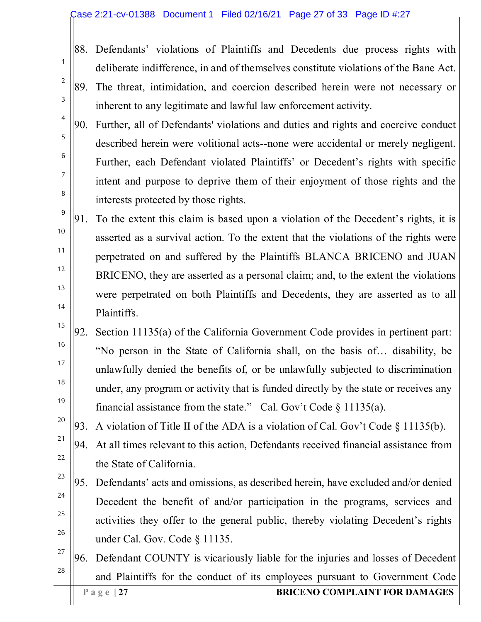#### Case 2:21-cv-01388 Document 1 Filed 02/16/21 Page 27 of 33 Page ID #:27

1

2

3

4

5

6

7

8

9

10

11

12

13

14

15

16

17

18

19

20

21

22

23

24

25

26

88. Defendants' violations of Plaintiffs and Decedents due process rights with deliberate indifference, in and of themselves constitute violations of the Bane Act.

- 89. The threat, intimidation, and coercion described herein were not necessary or inherent to any legitimate and lawful law enforcement activity.
- 90. Further, all of Defendants' violations and duties and rights and coercive conduct described herein were volitional acts--none were accidental or merely negligent. Further, each Defendant violated Plaintiffs' or Decedent's rights with specific intent and purpose to deprive them of their enjoyment of those rights and the interests protected by those rights.

91. To the extent this claim is based upon a violation of the Decedent's rights, it is asserted as a survival action. To the extent that the violations of the rights were perpetrated on and suffered by the Plaintiffs BLANCA BRICENO and JUAN BRICENO, they are asserted as a personal claim; and, to the extent the violations were perpetrated on both Plaintiffs and Decedents, they are asserted as to all Plaintiffs.

- 92. Section 11135(a) of the California Government Code provides in pertinent part: "No person in the State of California shall, on the basis of… disability, be unlawfully denied the benefits of, or be unlawfully subjected to discrimination under, any program or activity that is funded directly by the state or receives any financial assistance from the state." Cal. Gov't Code  $\S$  11135(a).
- 93. A violation of Title II of the ADA is a violation of Cal. Gov't Code § 11135(b).
- 94. At all times relevant to this action, Defendants received financial assistance from the State of California.
- 95. Defendants' acts and omissions, as described herein, have excluded and/or denied Decedent the benefit of and/or participation in the programs, services and activities they offer to the general public, thereby violating Decedent's rights under Cal. Gov. Code § 11135.
- 27 28 **Page** | 27 **BRICENO COMPLAINT FOR DAMAGES** 96. Defendant COUNTY is vicariously liable for the injuries and losses of Decedent and Plaintiffs for the conduct of its employees pursuant to Government Code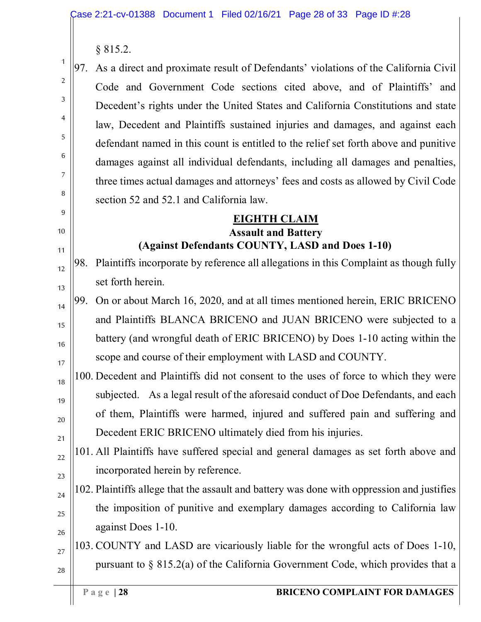§ 815.2.

1

2

3

4

5

6

7

8

9

10

11

12

13

14

15

16

17

19

20

21

22

23

24

25

26

97. As a direct and proximate result of Defendants' violations of the California Civil Code and Government Code sections cited above, and of Plaintiffs' and Decedent's rights under the United States and California Constitutions and state law, Decedent and Plaintiffs sustained injuries and damages, and against each defendant named in this count is entitled to the relief set forth above and punitive damages against all individual defendants, including all damages and penalties, three times actual damages and attorneys' fees and costs as allowed by Civil Code section 52 and 52.1 and California law.

#### **EIGHTH CLAIM Assault and Battery (Against Defendants COUNTY, LASD and Does 1-10)**

- 98. Plaintiffs incorporate by reference all allegations in this Complaint as though fully set forth herein.
- 99. On or about March 16, 2020, and at all times mentioned herein, ERIC BRICENO and Plaintiffs BLANCA BRICENO and JUAN BRICENO were subjected to a battery (and wrongful death of ERIC BRICENO) by Does 1-10 acting within the scope and course of their employment with LASD and COUNTY.
- 18 100. Decedent and Plaintiffs did not consent to the uses of force to which they were subjected. As a legal result of the aforesaid conduct of Doe Defendants, and each of them, Plaintiffs were harmed, injured and suffered pain and suffering and Decedent ERIC BRICENO ultimately died from his injuries.
	- 101. All Plaintiffs have suffered special and general damages as set forth above and incorporated herein by reference.
	- 102. Plaintiffs allege that the assault and battery was done with oppression and justifies the imposition of punitive and exemplary damages according to California law against Does 1-10.

#### 27 28 103. COUNTY and LASD are vicariously liable for the wrongful acts of Does 1-10, pursuant to § 815.2(a) of the California Government Code, which provides that a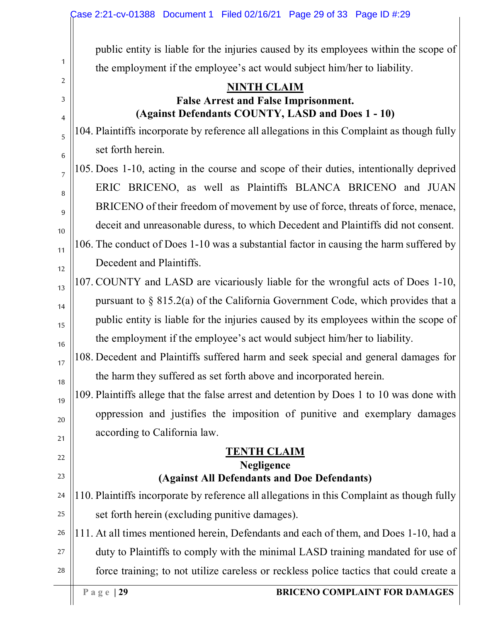|        | Case 2:21-cv-01388 Document 1 Filed 02/16/21 Page 29 of 33 Page ID #:29                          |  |
|--------|--------------------------------------------------------------------------------------------------|--|
|        | public entity is liable for the injuries caused by its employees within the scope of             |  |
| 1      | the employment if the employee's act would subject him/her to liability.                         |  |
| 2      | <b>NINTH CLAIM</b>                                                                               |  |
| 3<br>4 | <b>False Arrest and False Imprisonment.</b><br>(Against Defendants COUNTY, LASD and Does 1 - 10) |  |
| 5      | 104. Plaintiffs incorporate by reference all allegations in this Complaint as though fully       |  |
| 6      | set forth herein.                                                                                |  |
| 7      | 105. Does 1-10, acting in the course and scope of their duties, intentionally deprived           |  |
| 8      | ERIC BRICENO, as well as Plaintiffs BLANCA BRICENO and JUAN                                      |  |
| 9      | BRICENO of their freedom of movement by use of force, threats of force, menace,                  |  |
| 10     | deceit and unreasonable duress, to which Decedent and Plaintiffs did not consent.                |  |
| 11     | 106. The conduct of Does 1-10 was a substantial factor in causing the harm suffered by           |  |
| 12     | Decedent and Plaintiffs.                                                                         |  |
| 13     | 107. COUNTY and LASD are vicariously liable for the wrongful acts of Does 1-10,                  |  |
| 14     | pursuant to $\S$ 815.2(a) of the California Government Code, which provides that a               |  |
| 15     | public entity is liable for the injuries caused by its employees within the scope of             |  |
| 16     | the employment if the employee's act would subject him/her to liability.                         |  |
| 17     | 108. Decedent and Plaintiffs suffered harm and seek special and general damages for              |  |
| 18     | the harm they suffered as set forth above and incorporated herein.                               |  |
| 19     | 109. Plaintiffs allege that the false arrest and detention by Does 1 to 10 was done with         |  |
| 20     | oppression and justifies the imposition of punitive and exemplary damages                        |  |
| 21     | according to California law.                                                                     |  |
| 22     | <u>TENTH CLAIM</u>                                                                               |  |
| 23     | <b>Negligence</b><br>(Against All Defendants and Doe Defendants)                                 |  |
| 24     | 110. Plaintiffs incorporate by reference all allegations in this Complaint as though fully       |  |
| 25     | set forth herein (excluding punitive damages).                                                   |  |
| 26     | 111. At all times mentioned herein, Defendants and each of them, and Does 1-10, had a            |  |
| 27     | duty to Plaintiffs to comply with the minimal LASD training mandated for use of                  |  |
| 28     | force training; to not utilize careless or reckless police tactics that could create a           |  |
|        | Page $ 29$<br><b>BRICENO COMPLAINT FOR DAMAGES</b>                                               |  |
|        |                                                                                                  |  |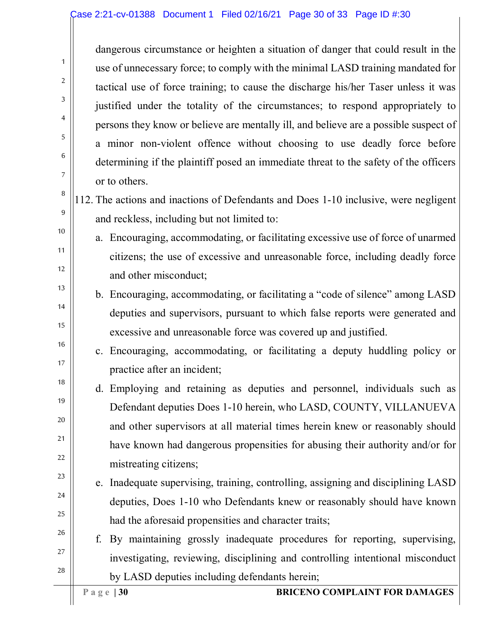dangerous circumstance or heighten a situation of danger that could result in the use of unnecessary force; to comply with the minimal LASD training mandated for tactical use of force training; to cause the discharge his/her Taser unless it was justified under the totality of the circumstances; to respond appropriately to persons they know or believe are mentally ill, and believe are a possible suspect of a minor non-violent offence without choosing to use deadly force before determining if the plaintiff posed an immediate threat to the safety of the officers or to others.

- 112. The actions and inactions of Defendants and Does 1-10 inclusive, were negligent and reckless, including but not limited to:
	- a. Encouraging, accommodating, or facilitating excessive use of force of unarmed citizens; the use of excessive and unreasonable force, including deadly force and other misconduct;
	- b. Encouraging, accommodating, or facilitating a "code of silence" among LASD deputies and supervisors, pursuant to which false reports were generated and excessive and unreasonable force was covered up and justified.
		- c. Encouraging, accommodating, or facilitating a deputy huddling policy or practice after an incident;
- d. Employing and retaining as deputies and personnel, individuals such as Defendant deputies Does 1-10 herein, who LASD, COUNTY, VILLANUEVA and other supervisors at all material times herein knew or reasonably should have known had dangerous propensities for abusing their authority and/or for mistreating citizens;
- e. Inadequate supervising, training, controlling, assigning and disciplining LASD deputies, Does 1-10 who Defendants knew or reasonably should have known had the aforesaid propensities and character traits;
- 26 27 28 f. By maintaining grossly inadequate procedures for reporting, supervising, investigating, reviewing, disciplining and controlling intentional misconduct by LASD deputies including defendants herein;

1

2

3

4

5

6

7

8

9

10

11

12

13

14

15

16

17

18

19

20

21

22

23

24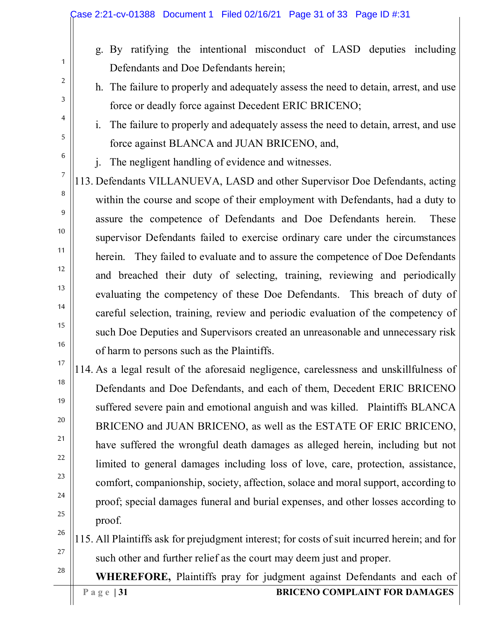- g. By ratifying the intentional misconduct of LASD deputies including Defendants and Doe Defendants herein;
- h. The failure to properly and adequately assess the need to detain, arrest, and use force or deadly force against Decedent ERIC BRICENO;
- i. The failure to properly and adequately assess the need to detain, arrest, and use force against BLANCA and JUAN BRICENO, and,
- j. The negligent handling of evidence and witnesses.

113. Defendants VILLANUEVA, LASD and other Supervisor Doe Defendants, acting within the course and scope of their employment with Defendants, had a duty to assure the competence of Defendants and Doe Defendants herein. These supervisor Defendants failed to exercise ordinary care under the circumstances herein. They failed to evaluate and to assure the competence of Doe Defendants and breached their duty of selecting, training, reviewing and periodically evaluating the competency of these Doe Defendants. This breach of duty of careful selection, training, review and periodic evaluation of the competency of such Doe Deputies and Supervisors created an unreasonable and unnecessary risk of harm to persons such as the Plaintiffs.

- 18 19 20 21 22 23 24 25 114. As a legal result of the aforesaid negligence, carelessness and unskillfulness of Defendants and Doe Defendants, and each of them, Decedent ERIC BRICENO suffered severe pain and emotional anguish and was killed. Plaintiffs BLANCA BRICENO and JUAN BRICENO, as well as the ESTATE OF ERIC BRICENO, have suffered the wrongful death damages as alleged herein, including but not limited to general damages including loss of love, care, protection, assistance, comfort, companionship, society, affection, solace and moral support, according to proof; special damages funeral and burial expenses, and other losses according to proof.
- 26 27 115. All Plaintiffs ask for prejudgment interest; for costs of suit incurred herein; and for such other and further relief as the court may deem just and proper.

**WHEREFORE,** Plaintiffs pray for judgment against Defendants and each of

1

2

3

4

5

6

7

8

9

10

11

12

13

14

15

16

17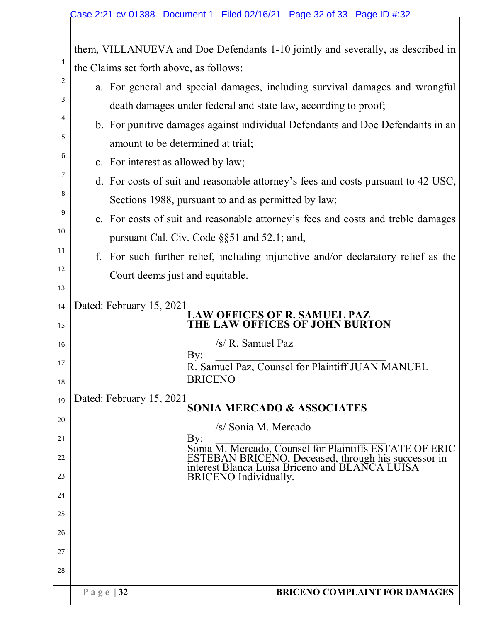|          | them, VILLANUEVA and Doe Defendants 1-10 jointly and severally, as described in                       |
|----------|-------------------------------------------------------------------------------------------------------|
| 1        | the Claims set forth above, as follows:                                                               |
| 2        | a. For general and special damages, including survival damages and wrongful                           |
| 3        | death damages under federal and state law, according to proof;                                        |
| 4        | b. For punitive damages against individual Defendants and Doe Defendants in an                        |
| 5        | amount to be determined at trial;                                                                     |
| 6        | c. For interest as allowed by law;                                                                    |
| 7        | d. For costs of suit and reasonable attorney's fees and costs pursuant to 42 USC,                     |
| 8        | Sections 1988, pursuant to and as permitted by law;                                                   |
| 9        | e. For costs of suit and reasonable attorney's fees and costs and treble damages                      |
| 10       | pursuant Cal. Civ. Code §§51 and 52.1; and,                                                           |
| 11       | For such further relief, including injunctive and/or declaratory relief as the<br>f.                  |
| 12<br>13 | Court deems just and equitable.                                                                       |
| 14       | Dated: February 15, 2021                                                                              |
| 15       | LAW OFFICES OF R. SAMUEL PAZ<br>THE LAW OFFICES OF JOHN BURTON                                        |
| 16       | $/s/R$ . Samuel Paz                                                                                   |
| 17       | By:<br>R. Samuel Paz, Counsel for Plaintiff JUAN MANUEL                                               |
| 18       | <b>BRICENO</b>                                                                                        |
| 19       | Dated: February 15, 2021<br><b>SONIA MERCADO &amp; ASSOCIATES</b>                                     |
| 20       | /s/ Sonia M. Mercado                                                                                  |
| 21       | By:<br>Sonia M. Mercado, Counsel for Plaintiffs ESTATE OF ERIC                                        |
| 22       | ESTEBAN BRICENO, Deceased, through his successor in<br>interest Blanca Luisa Briceno and BLANCA LUISA |
| 23       | <b>BRICENO</b> Individually.                                                                          |
| 24       |                                                                                                       |
| 25       |                                                                                                       |
| 26       |                                                                                                       |
| 27       |                                                                                                       |
| 28       |                                                                                                       |
|          | <b>BRICENO COMPLAINT FOR DAMAGES</b><br>Page $ 32$                                                    |